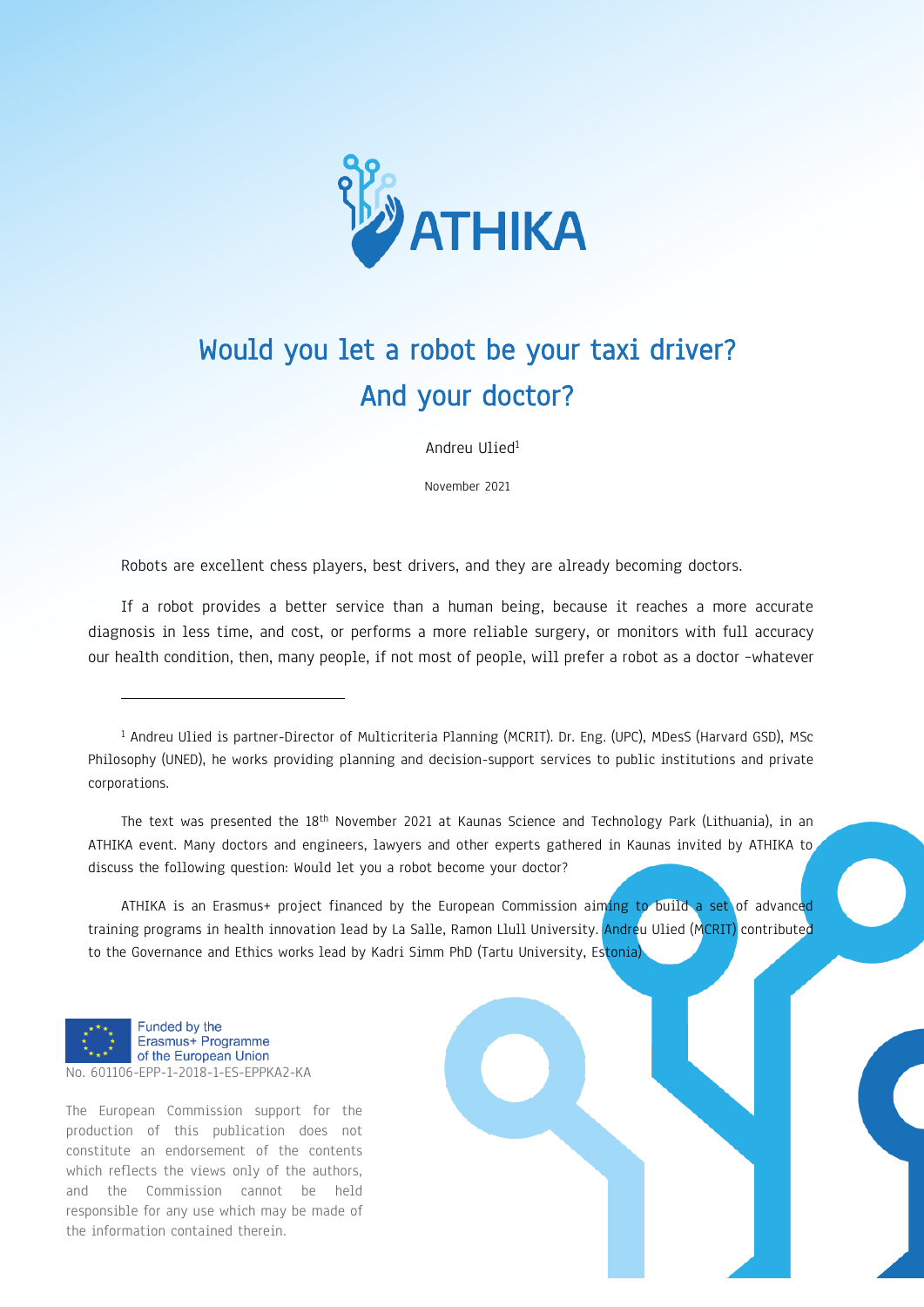

## Would you let a robot be your taxi driver? And your doctor?

Andreu Ulied<sup>1</sup>

November 2021

Robots are excellent chess players, best drivers, and they are already becoming doctors.

If a robot provides a better service than a human being, because it reaches a more accurate diagnosis in less time, and cost, or performs a more reliable surgery, or monitors with full accuracy our health condition, then, many people, if not most of people, will prefer a robot as a doctor –whatever

The text was presented the 18<sup>th</sup> November 2021 at Kaunas Science and Technology Park (Lithuania), in an ATHIKA event. Many doctors and engineers, lawyers and other experts gathered in Kaunas invited by ATHIKA to discuss the following question: Would let you a robot become your doctor?

ATHIKA is an Erasmus+ project financed by the European Commission aiming to build a set of advanced training programs in health innovation lead by La Salle, Ramon Llull University. Andreu Ulied (MCRIT) contributed to the Governance and Ethics works lead by Kadri Simm PhD (Tartu University, Estonia)



-

The European Commission support for the production of this publication does not constitute an endorsement of the contents which reflects the views only of the authors, and the Commission cannot be held responsible for any use which may be made of the information contained therein.

<sup>1</sup> Andreu Ulied is partner-Director of Multicriteria Planning (MCRIT). Dr. Eng. (UPC), MDesS (Harvard GSD), MSc Philosophy (UNED), he works providing planning and decision-support services to public institutions and private corporations.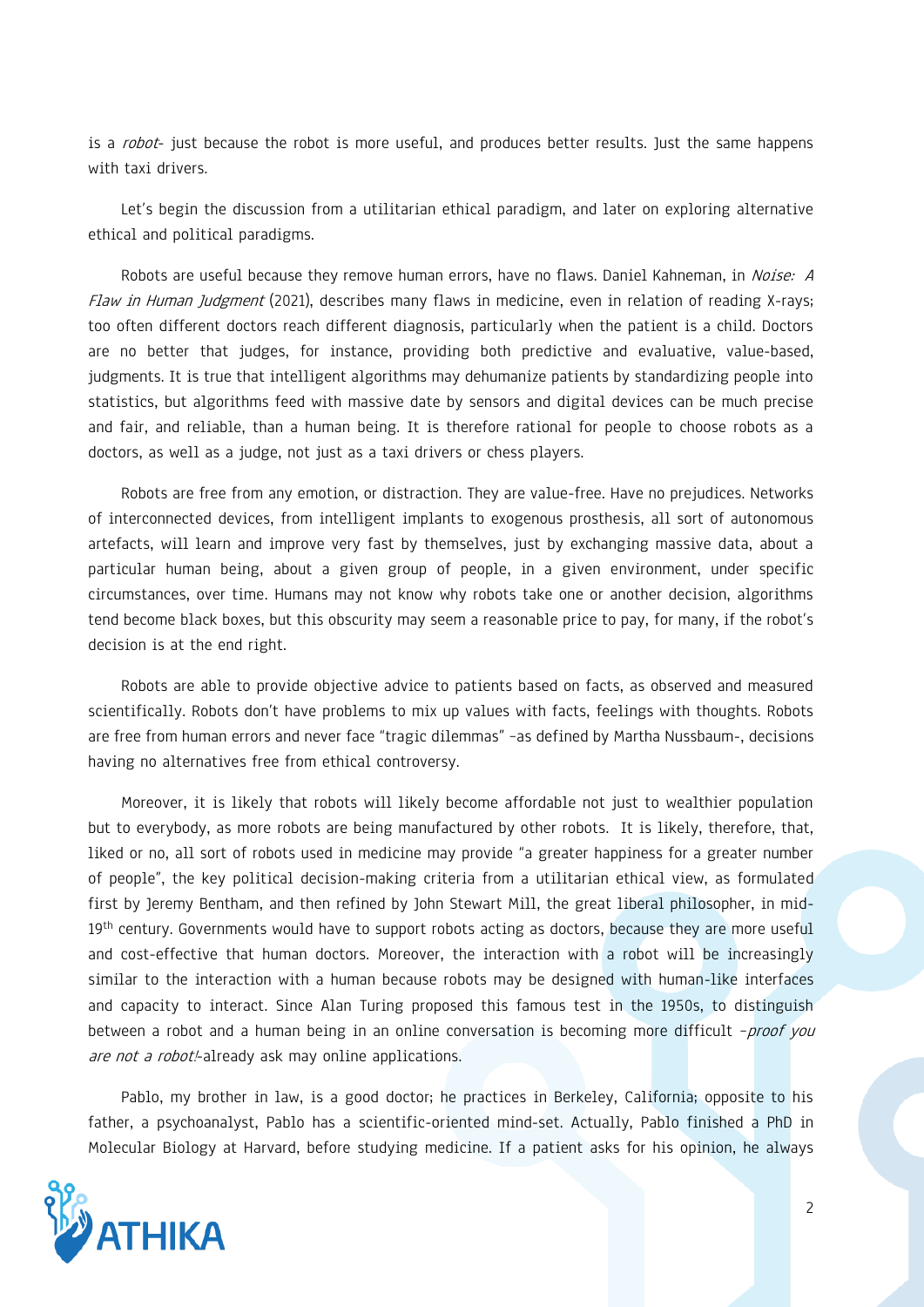is a robot- just because the robot is more useful, and produces better results. Just the same happens with taxi drivers.

Let's begin the discussion from a utilitarian ethical paradigm, and later on exploring alternative ethical and political paradigms.

Robots are useful because they remove human errors, have no flaws. Daniel Kahneman, in Noise: A Flaw in Human Judgment (2021), describes many flaws in medicine, even in relation of reading X-rays; too often different doctors reach different diagnosis, particularly when the patient is a child. Doctors are no better that judges, for instance, providing both predictive and evaluative, value-based, judgments. It is true that intelligent algorithms may dehumanize patients by standardizing people into statistics, but algorithms feed with massive date by sensors and digital devices can be much precise and fair, and reliable, than a human being. It is therefore rational for people to choose robots as a doctors, as well as a judge, not just as a taxi drivers or chess players.

Robots are free from any emotion, or distraction. They are value-free. Have no prejudices. Networks of interconnected devices, from intelligent implants to exogenous prosthesis, all sort of autonomous artefacts, will learn and improve very fast by themselves, just by exchanging massive data, about a particular human being, about a given group of people, in a given environment, under specific circumstances, over time. Humans may not know why robots take one or another decision, algorithms tend become black boxes, but this obscurity may seem a reasonable price to pay, for many, if the robot's decision is at the end right.

Robots are able to provide objective advice to patients based on facts, as observed and measured scientifically. Robots don't have problems to mix up values with facts, feelings with thoughts. Robots are free from human errors and never face "tragic dilemmas" –as defined by Martha Nussbaum-, decisions having no alternatives free from ethical controversy.

Moreover, it is likely that robots will likely become affordable not just to wealthier population but to everybody, as more robots are being manufactured by other robots. It is likely, therefore, that, liked or no, all sort of robots used in medicine may provide "a greater happiness for a greater number of people", the key political decision-making criteria from a utilitarian ethical view, as formulated first by Jeremy Bentham, and then refined by John Stewart Mill, the great liberal philosopher, in mid-19<sup>th</sup> century. Governments would have to support robots acting as doctors, because they are more useful and cost-effective that human doctors. Moreover, the interaction with a robot will be increasingly similar to the interaction with a human because robots may be designed with human-like interfaces and capacity to interact. Since Alan Turing proposed this famous test in the 1950s, to distinguish between a robot and a human being in an online conversation is becoming more difficult -proof you are not a robot!-already ask may online applications.

Pablo, my brother in law, is a good doctor; he practices in Berkeley, California; opposite to his father, a psychoanalyst, Pablo has a scientific-oriented mind-set. Actually, Pablo finished a PhD in Molecular Biology at Harvard, before studying medicine. If a patient asks for his opinion, he always

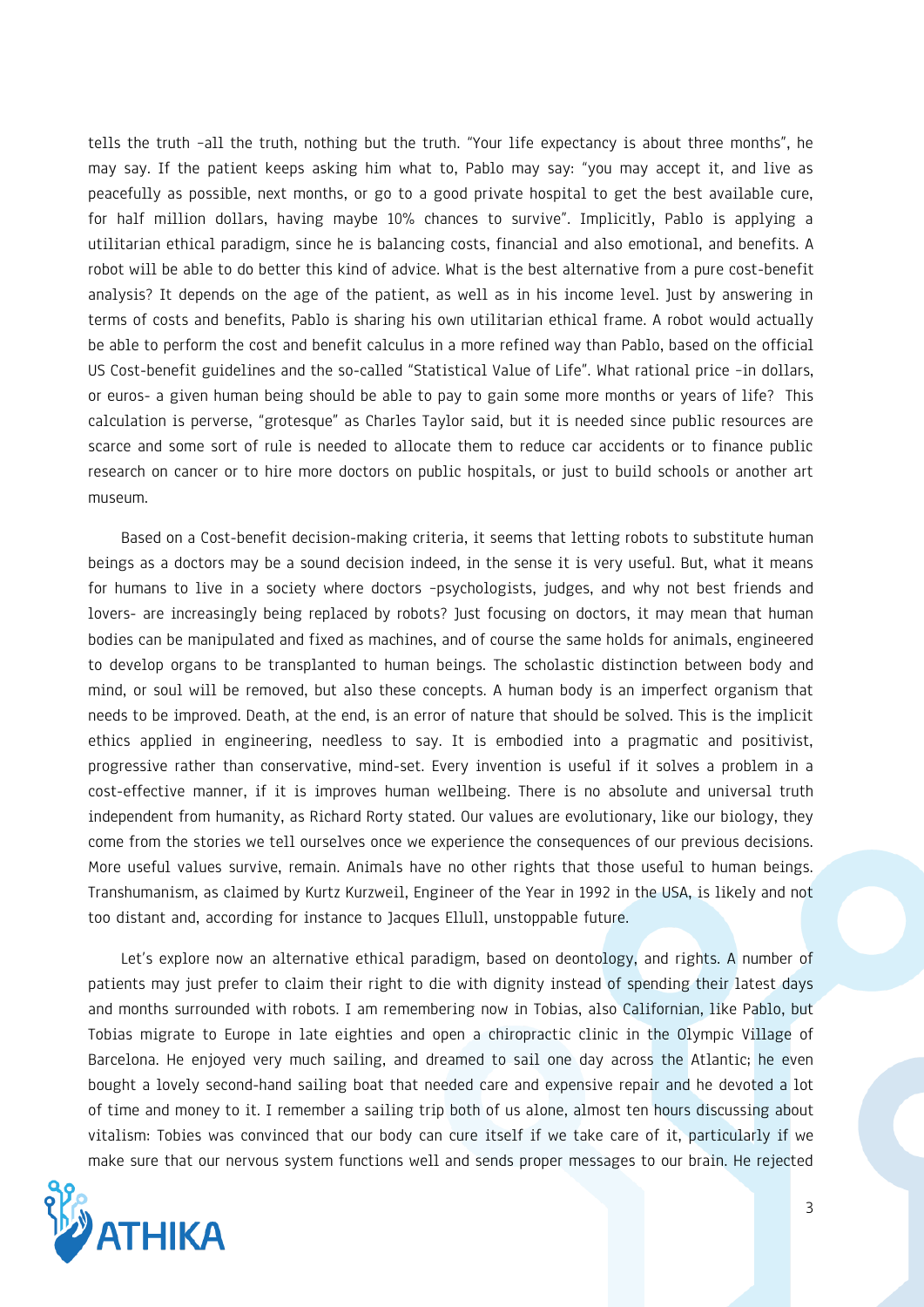tells the truth –all the truth, nothing but the truth. "Your life expectancy is about three months", he may say. If the patient keeps asking him what to, Pablo may say: "you may accept it, and live as peacefully as possible, next months, or go to a good private hospital to get the best available cure, for half million dollars, having maybe 10% chances to survive". Implicitly, Pablo is applying a utilitarian ethical paradigm, since he is balancing costs, financial and also emotional, and benefits. A robot will be able to do better this kind of advice. What is the best alternative from a pure cost-benefit analysis? It depends on the age of the patient, as well as in his income level. Just by answering in terms of costs and benefits, Pablo is sharing his own utilitarian ethical frame. A robot would actually be able to perform the cost and benefit calculus in a more refined way than Pablo, based on the official US Cost-benefit guidelines and the so-called "Statistical Value of Life". What rational price -in dollars, or euros- a given human being should be able to pay to gain some more months or years of life? This calculation is perverse, "grotesque" as Charles Taylor said, but it is needed since public resources are scarce and some sort of rule is needed to allocate them to reduce car accidents or to finance public research on cancer or to hire more doctors on public hospitals, or just to build schools or another art museum.

Based on a Cost-benefit decision-making criteria, it seems that letting robots to substitute human beings as a doctors may be a sound decision indeed, in the sense it is very useful. But, what it means for humans to live in a society where doctors –psychologists, judges, and why not best friends and lovers- are increasingly being replaced by robots? Just focusing on doctors, it may mean that human bodies can be manipulated and fixed as machines, and of course the same holds for animals, engineered to develop organs to be transplanted to human beings. The scholastic distinction between body and mind, or soul will be removed, but also these concepts. A human body is an imperfect organism that needs to be improved. Death, at the end, is an error of nature that should be solved. This is the implicit ethics applied in engineering, needless to say. It is embodied into a pragmatic and positivist, progressive rather than conservative, mind-set. Every invention is useful if it solves a problem in a cost-effective manner, if it is improves human wellbeing. There is no absolute and universal truth independent from humanity, as Richard Rorty stated. Our values are evolutionary, like our biology, they come from the stories we tell ourselves once we experience the consequences of our previous decisions. More useful values survive, remain. Animals have no other rights that those useful to human beings. Transhumanism, as claimed by Kurtz Kurzweil, Engineer of the Year in 1992 in the USA, is likely and not too distant and, according for instance to Jacques Ellull, unstoppable future.

Let's explore now an alternative ethical paradigm, based on deontology, and rights. A number of patients may just prefer to claim their right to die with dignity instead of spending their latest days and months surrounded with robots. I am remembering now in Tobias, also Californian, like Pablo, but Tobias migrate to Europe in late eighties and open a chiropractic clinic in the Olympic Village of Barcelona. He enjoyed very much sailing, and dreamed to sail one day across the Atlantic; he even bought a lovely second-hand sailing boat that needed care and expensive repair and he devoted a lot of time and money to it. I remember a sailing trip both of us alone, almost ten hours discussing about vitalism: Tobies was convinced that our body can cure itself if we take care of it, particularly if we make sure that our nervous system functions well and sends proper messages to our brain. He rejected

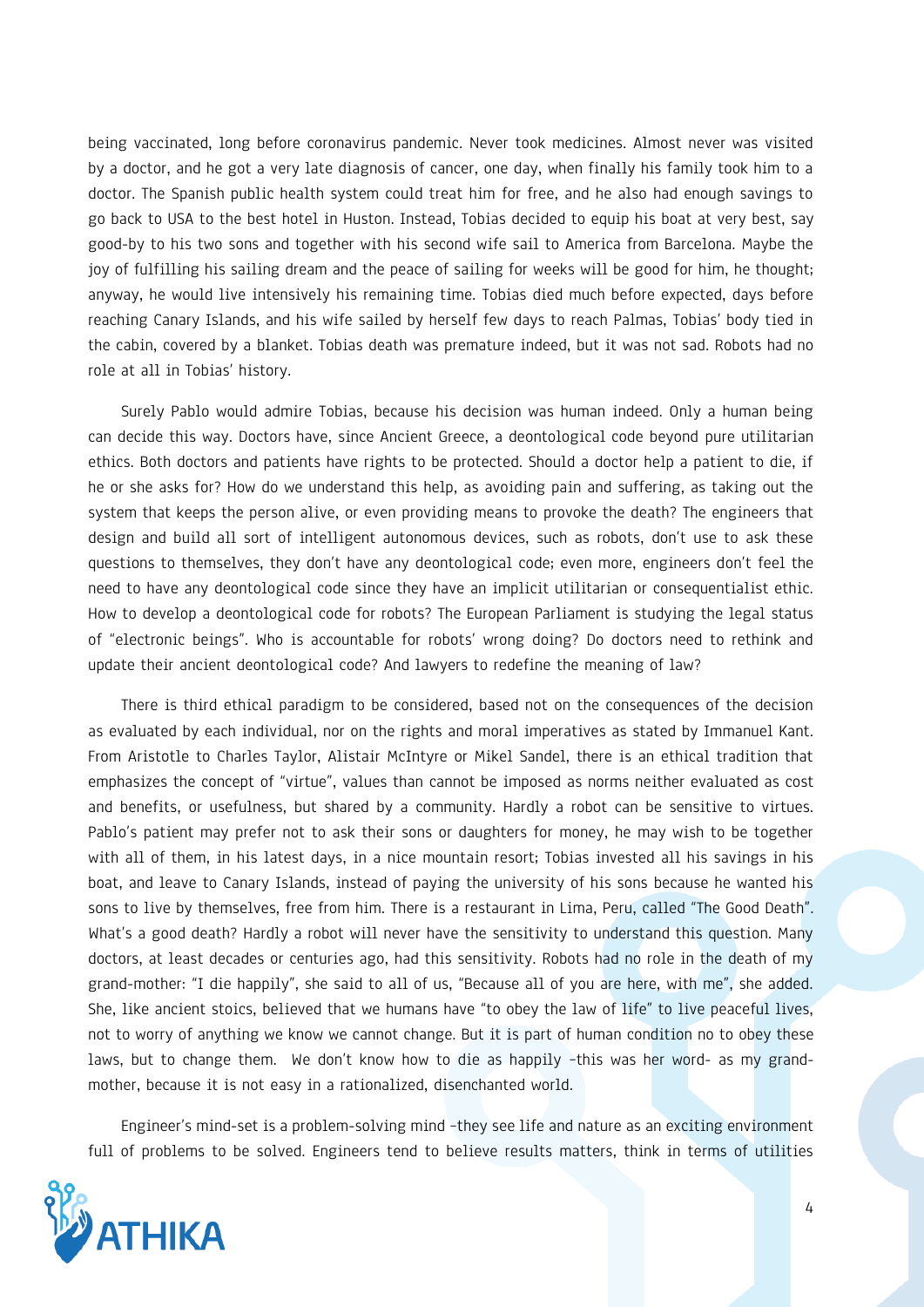being vaccinated, long before coronavirus pandemic. Never took medicines. Almost never was visited by a doctor, and he got a very late diagnosis of cancer, one day, when finally his family took him to a doctor. The Spanish public health system could treat him for free, and he also had enough savings to go back to USA to the best hotel in Huston. Instead, Tobias decided to equip his boat at very best, say good-by to his two sons and together with his second wife sail to America from Barcelona. Maybe the joy of fulfilling his sailing dream and the peace of sailing for weeks will be good for him, he thought; anyway, he would live intensively his remaining time. Tobias died much before expected, days before reaching Canary Islands, and his wife sailed by herself few days to reach Palmas, Tobias' body tied in the cabin, covered by a blanket. Tobias death was premature indeed, but it was not sad. Robots had no role at all in Tobias' history.

Surely Pablo would admire Tobias, because his decision was human indeed. Only a human being can decide this way. Doctors have, since Ancient Greece, a deontological code beyond pure utilitarian ethics. Both doctors and patients have rights to be protected. Should a doctor help a patient to die, if he or she asks for? How do we understand this help, as avoiding pain and suffering, as taking out the system that keeps the person alive, or even providing means to provoke the death? The engineers that design and build all sort of intelligent autonomous devices, such as robots, don't use to ask these questions to themselves, they don't have any deontological code; even more, engineers don't feel the need to have any deontological code since they have an implicit utilitarian or consequentialist ethic. How to develop a deontological code for robots? The European Parliament is studying the legal status of "electronic beings". Who is accountable for robots' wrong doing? Do doctors need to rethink and update their ancient deontological code? And lawyers to redefine the meaning of law?

There is third ethical paradigm to be considered, based not on the consequences of the decision as evaluated by each individual, nor on the rights and moral imperatives as stated by Immanuel Kant. From Aristotle to Charles Taylor, Alistair McIntyre or Mikel Sandel, there is an ethical tradition that emphasizes the concept of "virtue", values than cannot be imposed as norms neither evaluated as cost and benefits, or usefulness, but shared by a community. Hardly a robot can be sensitive to virtues. Pablo's patient may prefer not to ask their sons or daughters for money, he may wish to be together with all of them, in his latest days, in a nice mountain resort; Tobias invested all his savings in his boat, and leave to Canary Islands, instead of paying the university of his sons because he wanted his sons to live by themselves, free from him. There is a restaurant in Lima, Peru, called "The Good Death". What's a good death? Hardly a robot will never have the sensitivity to understand this question. Many doctors, at least decades or centuries ago, had this sensitivity. Robots had no role in the death of my grand-mother: "I die happily", she said to all of us, "Because all of you are here, with me", she added. She, like ancient stoics, believed that we humans have "to obey the law of life" to live peaceful lives, not to worry of anything we know we cannot change. But it is part of human condition no to obey these laws, but to change them. We don't know how to die as happily –this was her word- as my grandmother, because it is not easy in a rationalized, disenchanted world.

Engineer's mind-set is a problem-solving mind –they see life and nature as an exciting environment full of problems to be solved. Engineers tend to believe results matters, think in terms of utilities